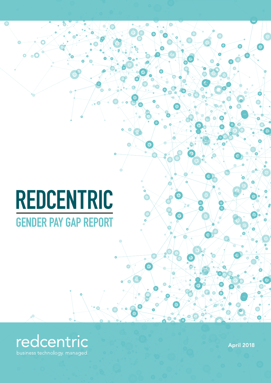# REDCENTRIC GENDER PAY GAP REPORT



April 2018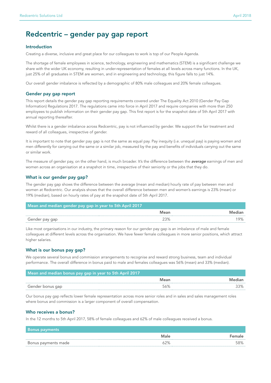## Redcentric – gender pay gap report

#### Introduction

Creating a diverse, inclusive and great place for our colleagues to work is top of our People Agenda.

The shortage of female employees in science, technology, engineering and mathematics (STEM) is a significant challenge we share with the wider UK economy, resulting in under-representation of females at all levels across many functions. In the UK, just 25% of all graduates in STEM are women, and in engineering and technology, this figure falls to just 14%.

Our overall gender imbalance is reflected by a demographic of 80% male colleagues and 20% female colleagues.

#### Gender pay gap report

This report details the gender pay gap reporting requirements covered under The Equality Act 2010 (Gender Pay Gap Information) Regulations 2017. The regulations came into force in April 2017 and require companies with more than 250 employees to publish information on their gender pay gap. This first report is for the snapshot date of 5th April 2017 with annual reporting thereafter.

Whilst there is a gender imbalance across Redcentric, pay is not influenced by gender. We support the fair treatment and reward of all colleagues, irrespective of gender.

It is important to note that gender pay gap is not the same as equal pay. Pay inequity (i.e. unequal pay) is paying women and men differently for carrying out the same or a similar job, measured by the pay and benefits of individuals carrying out the same or similar work.

The measure of gender pay, on the other hand, is much broader. It's the difference between the *average* earnings of men and women across an organisation at a snapshot in time, irrespective of their seniority or the jobs that they do.

#### What is our gender pay gap?

The gender pay gap shows the difference between the average (mean and median) hourly rate of pay between men and women at Redcentric. Our analysis shows that the overall difference between men and women's earnings is 23% (mean) or 19% (median), based on hourly rates of pay at the snapshot date of 5th April 2017.

| Mean and median gender pay gap in year to 5th April 2017 |      |        |  |
|----------------------------------------------------------|------|--------|--|
|                                                          | Mean | Mediar |  |
| Gender pay gap                                           | 23%  |        |  |

Like most organisations in our industry, the primary reason for our gender pay gap is an imbalance of male and female colleagues at different levels across the organisation. We have fewer female colleagues in more senior positions, which attract higher salaries.

#### What is our bonus pay gap?

We operate several bonus and commission arrangements to recognise and reward strong business, team and individual performance. The overall difference in bonus paid to male and females colleagues was 56% (mean) and 33% (median).

| Mean and median bonus pay gap in year to 5th April 2017 |      |        |  |  |
|---------------------------------------------------------|------|--------|--|--|
|                                                         | Mean | Median |  |  |
| Gender bonus gap                                        | 56%  |        |  |  |

Our bonus pay gap reflects lower female representation across more senior roles and in sales and sales management roles where bonus and commission is a larger component of overall compensation.

#### Who receives a bonus?

In the 12 months to 5th April 2017, 58% of female colleagues and 62% of male colleagues received a bonus.

| <b>Bonus payments</b> |      |        |
|-----------------------|------|--------|
|                       | Male | Female |
| Bonus payments made   | ነ2%  | :00/   |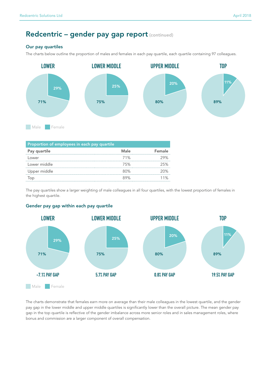# Redcentric - gender pay gap report (continued)

#### Our pay quartiles

The charts below outline the proportion of males and females in each pay quartile, each quartile containing 97 colleagues.



| Proportion of employees in each pay quartile |        |        |  |  |
|----------------------------------------------|--------|--------|--|--|
| Pay quartile                                 | Male   | Female |  |  |
| l ower                                       | 71%    | 29%    |  |  |
| Lower middle                                 | 75%    | 25%    |  |  |
| Upper middle                                 | 80%    | 20%    |  |  |
|                                              | $89\%$ | 1%     |  |  |

The pay quartiles show a larger weighting of male colleagues in all four quartiles, with the lowest proportion of females in the highest quartile.

#### Gender pay gap within each pay quartile



The charts demonstrate that females earn more on average than their male colleagues in the lowest quartile, and the gender pay gap in the lower middle and upper middle quartiles is significantly lower than the overall picture. The mean gender pay gap in the top quartile is reflective of the gender imbalance across more senior roles and in sales management roles, where bonus and commission are a larger component of overall compensation.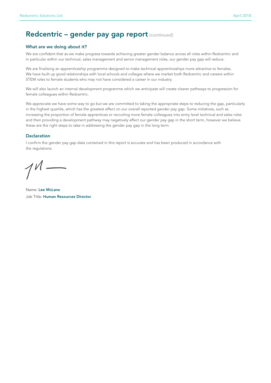## Redcentric - gender pay gap report (continued)

#### What are we doing about it?

We are confident that as we make progress towards achieving greater gender balance across all roles within Redcentric and in particular within our technical, sales management and senior management roles, our gender pay gap will reduce.

We are finalising an apprenticeship programme designed to make technical apprenticeships more attractive to females. We have built up good relationships with local schools and colleges where we market both Redcentric and careers within STEM roles to female students who may not have considered a career in our industry.

We will also launch an internal development programme which we anticipate will create clearer pathways to progression for female colleagues within Redcentric.

We appreciate we have some way to go but we are committed to taking the appropriate steps to reducing the gap, particularly in the highest quartile, which has the greatest effect on our overall reported gender pay gap. Some initiatives, such as increasing the proportion of female apprentices or recruiting more female colleagues into entry level technical and sales roles and then providing a development pathway may negatively affect our gender pay gap in the short term, however we believe these are the right steps to take in addressing the gender pay gap in the long term.

#### **Declaration**

I confirm the gender pay gap data contained in this report is accurate and has been produced in accordance with the regulations.

Name: Lee McLane Job Title: Human Resources Director